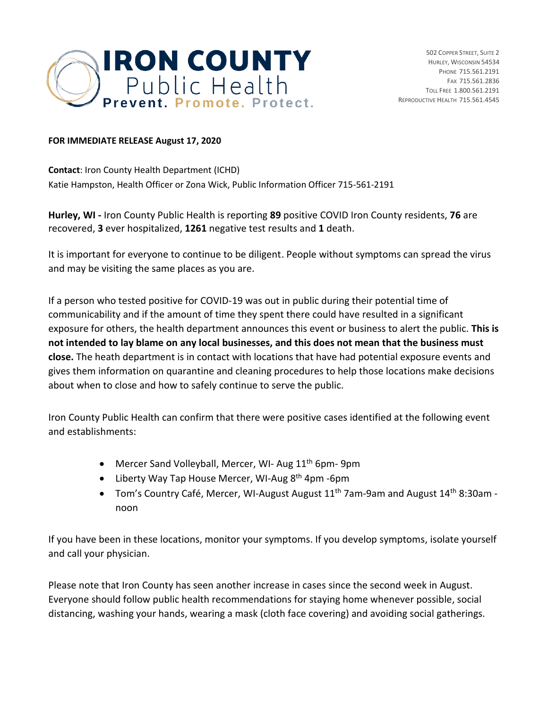

## **FOR IMMEDIATE RELEASE August 17, 2020**

**Contact**: Iron County Health Department (ICHD) Katie Hampston, Health Officer or Zona Wick, Public Information Officer 715-561-2191

**Hurley, WI -** Iron County Public Health is reporting **89** positive COVID Iron County residents, **76** are recovered, **3** ever hospitalized, **1261** negative test results and **1** death.

It is important for everyone to continue to be diligent. People without symptoms can spread the virus and may be visiting the same places as you are.

If a person who tested positive for COVID-19 was out in public during their potential time of communicability and if the amount of time they spent there could have resulted in a significant exposure for others, the health department announces this event or business to alert the public. **This is not intended to lay blame on any local businesses, and this does not mean that the business must close.** The heath department is in contact with locations that have had potential exposure events and gives them information on quarantine and cleaning procedures to help those locations make decisions about when to close and how to safely continue to serve the public.

Iron County Public Health can confirm that there were positive cases identified at the following event and establishments:

- Mercer Sand Volleyball, Mercer, WI- Aug 11<sup>th</sup> 6pm- 9pm
- Liberty Way Tap House Mercer, WI-Aug  $8<sup>th</sup>$  4pm -6pm
- Tom's Country Café, Mercer, WI-August August 11th 7am-9am and August 14th 8:30am noon

If you have been in these locations, monitor your symptoms. If you develop symptoms, isolate yourself and call your physician.

Please note that Iron County has seen another increase in cases since the second week in August. Everyone should follow public health recommendations for staying home whenever possible, social distancing, washing your hands, wearing a mask (cloth face covering) and avoiding social gatherings.